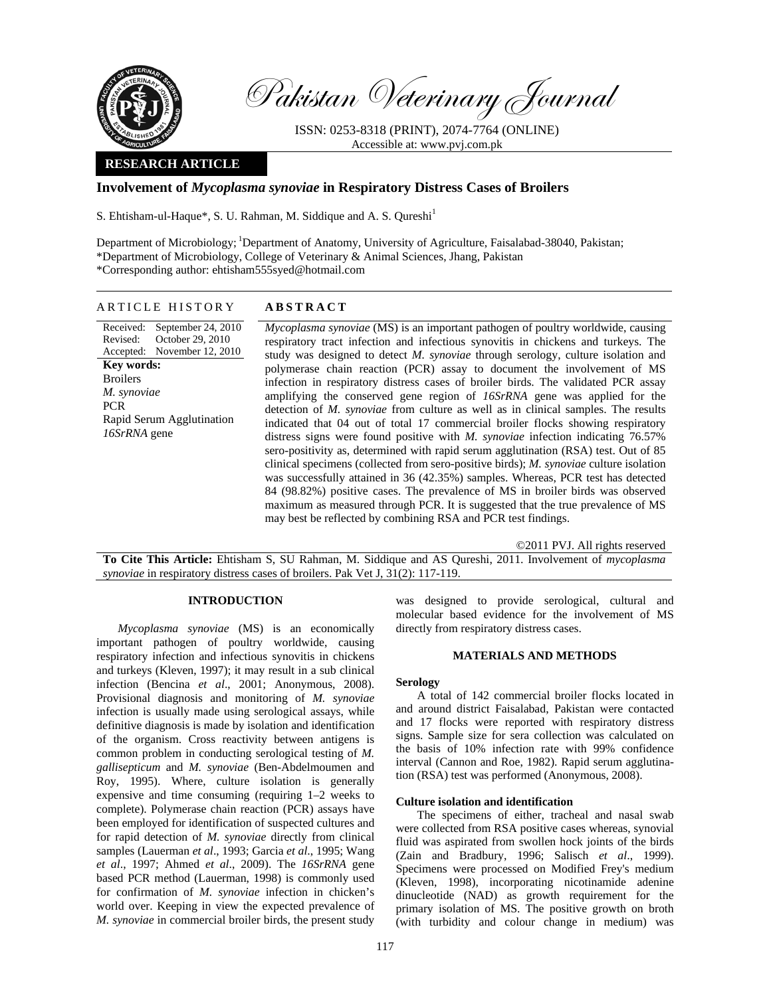

Pakistan Veterinary Journal

ISSN: 0253-8318 (PRINT), 2074-7764 (ONLINE) Accessible at: www.pvj.com.pk

# **RESEARCH ARTICLE**

# **Involvement of** *Mycoplasma synoviae* **in Respiratory Distress Cases of Broilers**

S. Ehtisham-ul-Haque\*, S. U. Rahman, M. Siddique and A. S. Qureshi<sup>1</sup>

Department of Microbiology; 1Department of Anatomy, University of Agriculture, Faisalabad-38040, Pakistan; \*Department of Microbiology, College of Veterinary & Animal Sciences, Jhang, Pakistan \*Corresponding author: ehtisham555syed@hotmail.com

# ARTICLE HISTORY **ABSTRACT**

Received: Revised: Accepted: September 24, 2010 October 29, 2010 November 12, 2010 **Key words:**  Broilers *M. synoviae*  PCR Rapid Serum Agglutination *16SrRNA* gene

*Mycoplasma synoviae* (MS) is an important pathogen of poultry worldwide, causing respiratory tract infection and infectious synovitis in chickens and turkeys. The study was designed to detect *M. synoviae* through serology, culture isolation and polymerase chain reaction (PCR) assay to document the involvement of MS infection in respiratory distress cases of broiler birds. The validated PCR assay amplifying the conserved gene region of *16SrRNA* gene was applied for the detection of *M. synoviae* from culture as well as in clinical samples. The results indicated that 04 out of total 17 commercial broiler flocks showing respiratory distress signs were found positive with *M. synoviae* infection indicating 76.57% sero-positivity as, determined with rapid serum agglutination (RSA) test. Out of 85 clinical specimens (collected from sero-positive birds); *M. synoviae* culture isolation was successfully attained in 36 (42.35%) samples. Whereas, PCR test has detected 84 (98.82%) positive cases. The prevalence of MS in broiler birds was observed maximum as measured through PCR. It is suggested that the true prevalence of MS may best be reflected by combining RSA and PCR test findings.

©2011 PVJ. All rights reserved

**To Cite This Article:** Ehtisham S, SU Rahman, M. Siddique and AS Qureshi, 2011. Involvement of *mycoplasma synoviae* in respiratory distress cases of broilers. Pak Vet J, 31(2): 117-119.

## **INTRODUCTION**

*Mycoplasma synoviae* (MS) is an economically important pathogen of poultry worldwide, causing respiratory infection and infectious synovitis in chickens and turkeys (Kleven, 1997); it may result in a sub clinical infection (Bencina *et al*., 2001; Anonymous, 2008). Provisional diagnosis and monitoring of *M. synoviae* infection is usually made using serological assays, while definitive diagnosis is made by isolation and identification of the organism. Cross reactivity between antigens is common problem in conducting serological testing of *M. gallisepticum* and *M. synoviae* (Ben-Abdelmoumen and Roy, 1995). Where, culture isolation is generally expensive and time consuming (requiring 1–2 weeks to complete). Polymerase chain reaction (PCR) assays have been employed for identification of suspected cultures and for rapid detection of *M. synoviae* directly from clinical samples (Lauerman *et al*., 1993; Garcia *et al*., 1995; Wang *et al*., 1997; Ahmed *et al*., 2009). The *16SrRNA* gene based PCR method (Lauerman, 1998) is commonly used for confirmation of *M. synoviae* infection in chicken's world over. Keeping in view the expected prevalence of *M. synoviae* in commercial broiler birds, the present study

was designed to provide serological, cultural and molecular based evidence for the involvement of MS directly from respiratory distress cases.

## **MATERIALS AND METHODS**

#### **Serology**

A total of 142 commercial broiler flocks located in and around district Faisalabad, Pakistan were contacted and 17 flocks were reported with respiratory distress signs. Sample size for sera collection was calculated on the basis of 10% infection rate with 99% confidence interval (Cannon and Roe, 1982). Rapid serum agglutination (RSA) test was performed (Anonymous, 2008).

## **Culture isolation and identification**

The specimens of either, tracheal and nasal swab were collected from RSA positive cases whereas, synovial fluid was aspirated from swollen hock joints of the birds (Zain and Bradbury, 1996; Salisch *et al*., 1999). Specimens were processed on Modified Frey's medium (Kleven, 1998), incorporating nicotinamide adenine dinucleotide (NAD) as growth requirement for the primary isolation of MS. The positive growth on broth (with turbidity and colour change in medium) was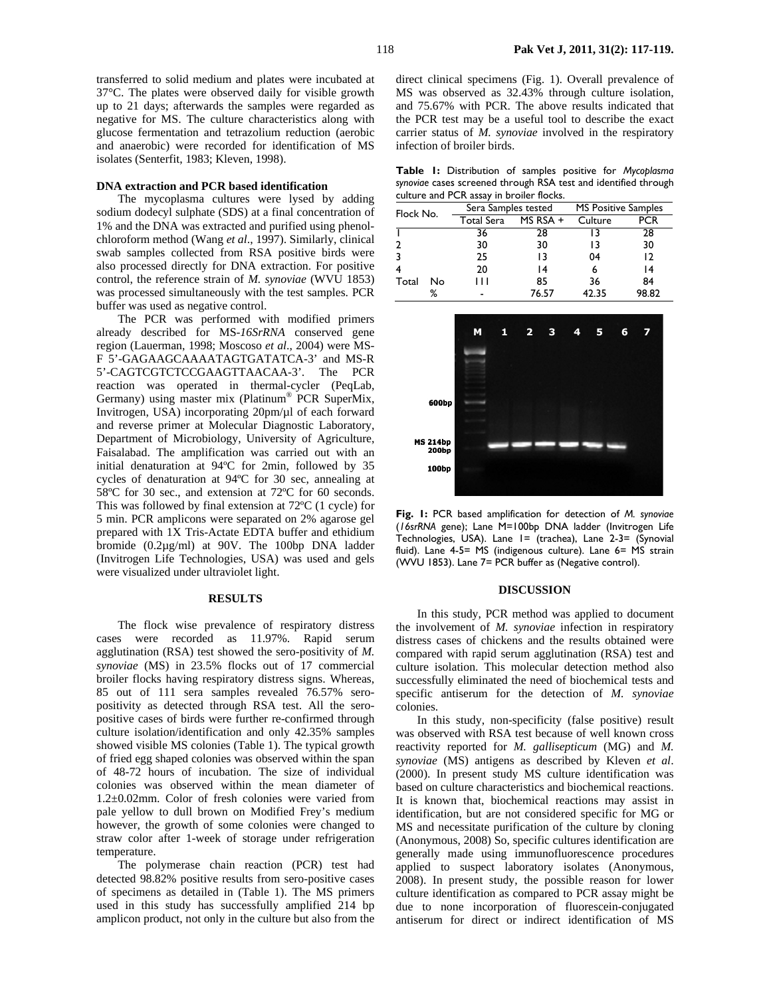transferred to solid medium and plates were incubated at 37°C. The plates were observed daily for visible growth up to 21 days; afterwards the samples were regarded as negative for MS. The culture characteristics along with glucose fermentation and tetrazolium reduction (aerobic and anaerobic) were recorded for identification of MS isolates (Senterfit, 1983; Kleven, 1998).

## **DNA extraction and PCR based identification**

The mycoplasma cultures were lysed by adding sodium dodecyl sulphate (SDS) at a final concentration of 1% and the DNA was extracted and purified using phenolchloroform method (Wang *et al*., 1997). Similarly, clinical swab samples collected from RSA positive birds were also processed directly for DNA extraction. For positive control, the reference strain of *M. synoviae* (WVU 1853) was processed simultaneously with the test samples. PCR buffer was used as negative control.

The PCR was performed with modified primers already described for MS-*16SrRNA* conserved gene region (Lauerman, 1998; Moscoso *et al*., 2004) were MS-F 5'-GAGAAGCAAAATAGTGATATCA-3' and MS-R 5'-CAGTCGTCTCCGAAGTTAACAA-3'. The PCR reaction was operated in thermal-cycler (PeqLab, Germany) using master mix (Platinum® PCR SuperMix, Invitrogen, USA) incorporating 20pm/µl of each forward and reverse primer at Molecular Diagnostic Laboratory, Department of Microbiology, University of Agriculture, Faisalabad. The amplification was carried out with an initial denaturation at 94ºC for 2min, followed by 35 cycles of denaturation at 94ºC for 30 sec, annealing at 58ºC for 30 sec., and extension at 72ºC for 60 seconds. This was followed by final extension at 72ºC (1 cycle) for 5 min. PCR amplicons were separated on 2% agarose gel prepared with 1X Tris-Actate EDTA buffer and ethidium bromide (0.2µg/ml) at 90V. The 100bp DNA ladder (Invitrogen Life Technologies, USA) was used and gels were visualized under ultraviolet light.

#### **RESULTS**

The flock wise prevalence of respiratory distress cases were recorded as 11.97%. Rapid serum agglutination (RSA) test showed the sero-positivity of *M. synoviae* (MS) in 23.5% flocks out of 17 commercial broiler flocks having respiratory distress signs. Whereas, 85 out of 111 sera samples revealed 76.57% seropositivity as detected through RSA test. All the seropositive cases of birds were further re-confirmed through culture isolation/identification and only 42.35% samples showed visible MS colonies (Table 1). The typical growth of fried egg shaped colonies was observed within the span of 48-72 hours of incubation. The size of individual colonies was observed within the mean diameter of 1.2±0.02mm. Color of fresh colonies were varied from pale yellow to dull brown on Modified Frey's medium however, the growth of some colonies were changed to straw color after 1-week of storage under refrigeration temperature.

The polymerase chain reaction (PCR) test had detected 98.82% positive results from sero-positive cases of specimens as detailed in (Table 1). The MS primers used in this study has successfully amplified 214 bp amplicon product, not only in the culture but also from the direct clinical specimens (Fig. 1). Overall prevalence of MS was observed as 32.43% through culture isolation, and 75.67% with PCR. The above results indicated that the PCR test may be a useful tool to describe the exact carrier status of *M. synoviae* involved in the respiratory infection of broiler birds.

|  | Table I: Distribution of samples positive for Mycoplasma        |  |  |  |
|--|-----------------------------------------------------------------|--|--|--|
|  | synovige cases screened through RSA test and identified through |  |  |  |
|  | culture and PCR assay in broiler flocks.                        |  |  |  |

| Flock No. |    | Sera Samples tested |            | <b>MS Positive Samples</b> |       |
|-----------|----|---------------------|------------|----------------------------|-------|
|           |    | Total Sera          | $MS RSA +$ | Culture                    | PCR   |
|           |    | 36                  | 28         | 13                         | 28    |
|           |    | 30                  | 30         | 13                         | 30    |
|           |    | 25                  | 13         | 04                         | 12    |
|           |    | 20                  | 14         | 6                          | 14    |
| Total     | No | Ш                   | 85         | 36                         | 84    |
|           | ℅  |                     | 76.57      | 42.35                      | 98.82 |



**Fig. 1:** PCR based amplification for detection of *M. synoviae* (*16srRNA* gene); Lane M=100bp DNA ladder (Invitrogen Life Technologies, USA). Lane 1= (trachea), Lane 2-3= (Synovial fluid). Lane 4-5= MS (indigenous culture). Lane 6= MS strain (WVU 1853). Lane 7= PCR buffer as (Negative control).

#### **DISCUSSION**

In this study, PCR method was applied to document the involvement of *M. synoviae* infection in respiratory distress cases of chickens and the results obtained were compared with rapid serum agglutination (RSA) test and culture isolation. This molecular detection method also successfully eliminated the need of biochemical tests and specific antiserum for the detection of *M. synoviae* colonies.

In this study, non-specificity (false positive) result was observed with RSA test because of well known cross reactivity reported for *M. gallisepticum* (MG) and *M. synoviae* (MS) antigens as described by Kleven *et al*. (2000). In present study MS culture identification was based on culture characteristics and biochemical reactions. It is known that, biochemical reactions may assist in identification, but are not considered specific for MG or MS and necessitate purification of the culture by cloning (Anonymous, 2008) So, specific cultures identification are generally made using immunofluorescence procedures applied to suspect laboratory isolates (Anonymous, 2008). In present study, the possible reason for lower culture identification as compared to PCR assay might be due to none incorporation of fluorescein-conjugated antiserum for direct or indirect identification of MS